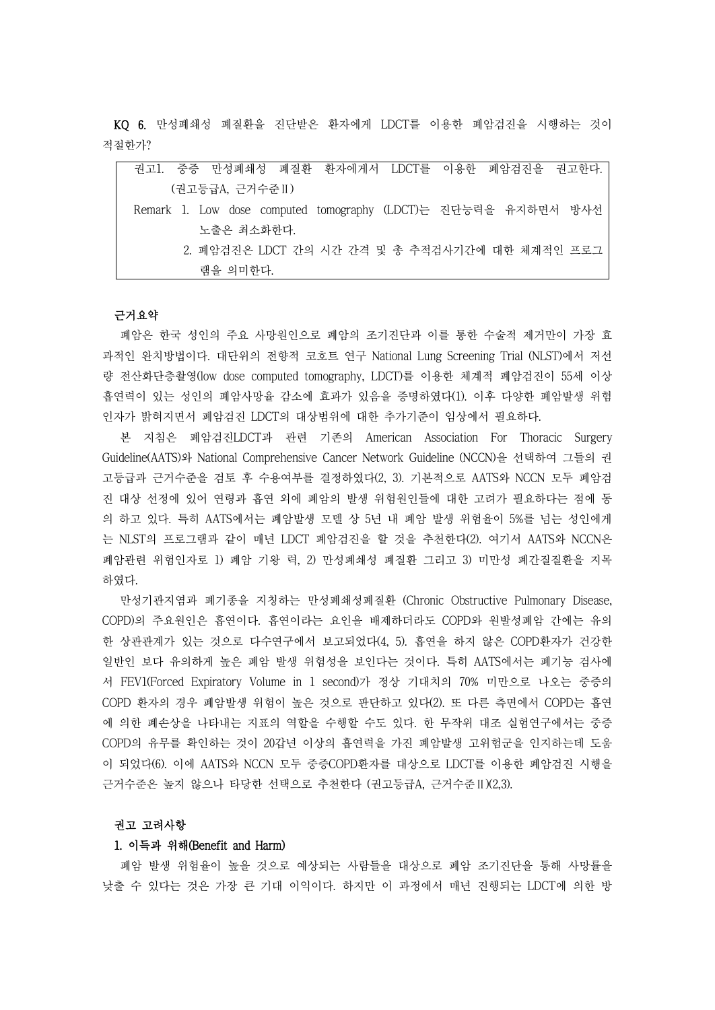KQ 6. 만성폐쇄성 폐질환을 진단받은 환자에게 LDCT를 이용한 폐암검진을 시행하는 것이 적절한가?

| 권고1. 중증 만성폐쇄성 폐질환 환자에게서 LDCT를 이용한 폐암검진을 권고한다.                  |  |
|----------------------------------------------------------------|--|
| (권고등급A, 근거수준 II)                                               |  |
| Remark 1. Low dose computed tomography (LDCT)는 진단능력을 유지하면서 방사선 |  |
| 노출은 최소화한다.                                                     |  |
| 2. 폐암검진은 LDCT 간의 시간 간격 및 총 추적검사기간에 대한 체계적인 프로그                 |  |
| 램을 의미한다.                                                       |  |

#### 근거요약

폐암은 한국 성인의 주요 사망원인으로 폐암의 조기진단과 이를 통한 수술적 제거만이 가장 효 과적인 완치방법이다. 대단위의 전향적 코호트 연구 National Lung Screening Trial (NLST)에서 저선 량 전산화단층촬영(low dose computed tomography, LDCT)를 이용한 체계적 폐암검진이 55세 이상 흡연력이 있는 성인의 폐암사망율 감소에 효과가 있음을 증명하였다(1). 이후 다양한 폐암발생 위험 인자가 밝혀지면서 폐암검진 LDCT의 대상범위에 대한 추가기준이 임상에서 필요하다.

본 지침은 폐암검진LDCT과 관련 기존의 American Association For Thoracic Surgery Guideline(AATS)와 National Comprehensive Cancer Network Guideline (NCCN)을 선택하여 그들의 권 고등급과 근거수준을 검토 후 수용여부를 결정하였다(2, 3). 기본적으로 AATS와 NCCN 모두 폐암검 진 대상 선정에 있어 연령과 흡연 외에 폐암의 발생 위험원인들에 대한 고려가 필요하다는 점에 동 의 하고 있다. 특히 AATS에서는 폐암발생 모델 상 5년 내 폐암 발생 위험율이 5%를 넘는 성인에게 는 NLST의 프로그램과 같이 매년 LDCT 폐암검진을 할 것을 추천한다(2). 여기서 AATS와 NCCN은 폐암관련 위험인자로 1) 폐암 기왕 력, 2) 만성폐쇄성 폐질환 그리고 3) 미만성 폐간질질환을 지목 하였다. 만성기관지염과 폐기종을 지칭하는 만성폐쇄성폐질환 (Chronic Obstructive Pulmonary Disease,

COPD)의 주요원인은 흡연이다. 흡연이라는 요인을 배제하더라도 COPD와 원발성폐암 간에는 유의 한 상관관계가 있는 것으로 다수연구에서 보고되었다(4, 5). 흡연을 하지 않은 COPD환자가 건강한 일반인 보다 유의하게 높은 폐암 발생 위험성을 보인다는 것이다. 특히 AATS에서는 폐기능 검사에 서 FEV1(Forced Expiratory Volume in 1 second)가 정상 기대치의 70% 미만으로 나오는 중증의 COPD 환자의 경우 폐암발생 위험이 높은 것으로 판단하고 있다(2). 또 다른 측면에서 COPD는 흡연 에 의한 폐손상을 나타내는 지표의 역할을 수행할 수도 있다. 한 무작위 대조 실험연구에서는 중증 COPD의 유무를 확인하는 것이 20갑년 이상의 흡연력을 가진 폐암발생 고위험군을 인지하는데 도움 이 되었다(6). 이에 AATS와 NCCN 모두 중증COPD환자를 대상으로 LDCT를 이용한 폐암검진 시행을 근거수준은 높지 않으나 타당한 선택으로 추천한다 (권고등급A, 근거수준Ⅱ)(2,3).

## 권고 고려사항

## 1. 이득과 위해(Benefit and Harm)

폐암 발생 위험율이 높을 것으로 예상되는 사람들을 대상으로 폐암 조기진단을 통해 사망률을 낮출 수 있다는 것은 가장 큰 기대 이익이다. 하지만 이 과정에서 매년 진행되는 LDCT에 의한 방